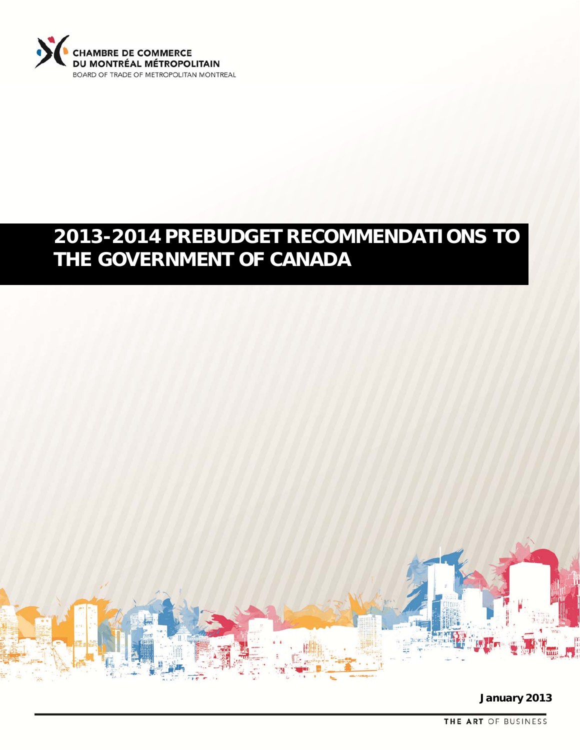

# **2013-2014 PREBUDGET RECOMMENDATIONS TO THE GOVERNMENT OF CANADA**



**January 2013**

THE ART OF BUSINESS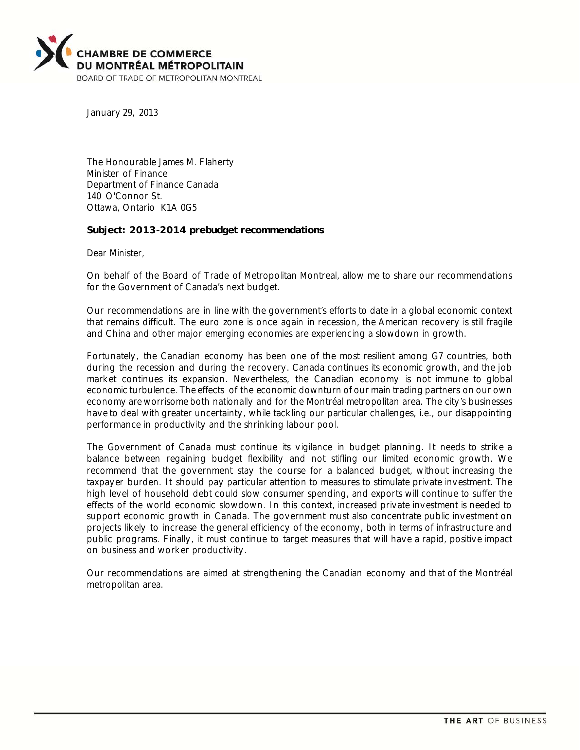

January 29, 2013

The Honourable James M. Flaherty Minister of Finance Department of Finance Canada 140 O'Connor St. Ottawa, Ontario K1A 0G5

#### **Subject: 2013-2014 prebudget recommendations**

Dear Minister,

On behalf of the Board of Trade of Metropolitan Montreal, allow me to share our recommendations for the Government of Canada's next budget.

Our recommendations are in line with the government's efforts to date in a global economic context that remains difficult. The euro zone is once again in recession, the American recovery is still fragile and China and other major emerging economies are experiencing a slowdown in growth.

Fortunately, the Canadian economy has been one of the most resilient among G7 countries, both during the recession and during the recovery. Canada continues its economic growth, and the job market continues its expansion. Nevertheless, the Canadian economy is not immune to global economic turbulence. The effects of the economic downturn of our main trading partners on our own economy are worrisome both nationally and for the Montréal metropolitan area. The city's businesses have to deal with greater uncertainty, while tackling our particular challenges, i.e., our disappointing performance in productivity and the shrinking labour pool.

The Government of Canada must continue its vigilance in budget planning. It needs to strike a balance between regaining budget flexibility and not stifling our limited economic growth. We recommend that the government stay the course for a balanced budget, without increasing the taxpayer burden. It should pay particular attention to measures to stimulate private investment. The high level of household debt could slow consumer spending, and exports will continue to suffer the effects of the world economic slowdown. In this context, increased private investment is needed to support economic growth in Canada. The government must also concentrate public investment on projects likely to increase the general efficiency of the economy, both in terms of infrastructure and public programs. Finally, it must continue to target measures that will have a rapid, positive impact on business and worker productivity.

Our recommendations are aimed at strengthening the Canadian economy and that of the Montréal metropolitan area.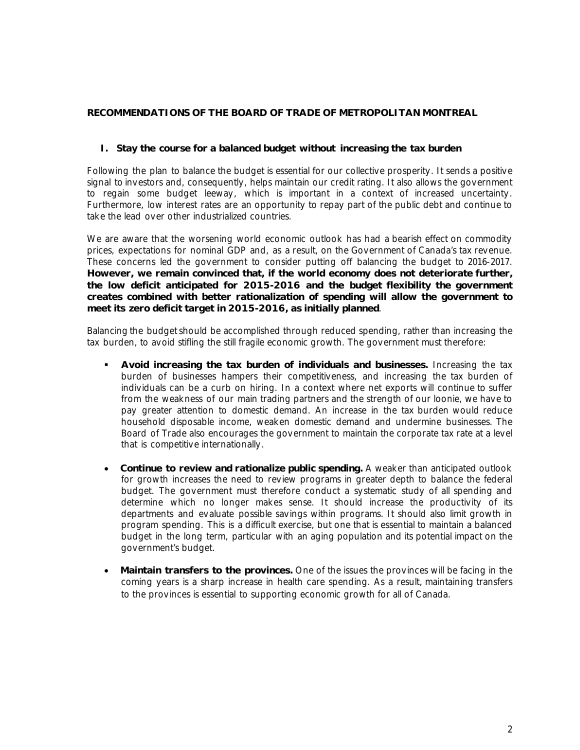# **RECOMMENDATIONS OF THE BOARD OF TRADE OF METROPOLITAN MONTREAL**

# **I. Stay the course for a balanced budget without increasing the tax burden**

Following the plan to balance the budget is essential for our collective prosperity. It sends a positive signal to investors and, consequently, helps maintain our credit rating. It also allows the government to regain some budget leeway, which is important in a context of increased uncertainty. Furthermore, low interest rates are an opportunity to repay part of the public debt and continue to take the lead over other industrialized countries.

We are aware that the worsening world economic outlook has had a bearish effect on commodity prices, expectations for nominal GDP and, as a result, on the Government of Canada's tax revenue. These concerns led the government to consider putting off balancing the budget to 2016-2017. **However, we remain convinced that, if the world economy does not deteriorate further, the low deficit anticipated for 2015-2016 and the budget flexibility the government creates combined with better rationalization of spending will allow the government to meet its zero deficit target in 2015-2016, as initially planned**.

Balancing the budget should be accomplished through reduced spending, rather than increasing the tax burden, to avoid stifling the still fragile economic growth. The government must therefore:

- **Avoid increasing the tax burden of individuals and businesses.** Increasing the tax burden of businesses hampers their competitiveness, and increasing the tax burden of individuals can be a curb on hiring. In a context where net exports will continue to suffer from the weakness of our main trading partners and the strength of our loonie, we have to pay greater attention to domestic demand. An increase in the tax burden would reduce household disposable income, weaken domestic demand and undermine businesses. The Board of Trade also encourages the government to maintain the corporate tax rate at a level that is competitive internationally.
- **Continue to review and rationalize public spending.** A weaker than anticipated outlook for growth increases the need to review programs in greater depth to balance the federal budget. The government must therefore conduct a systematic study of all spending and determine which no longer makes sense. It should increase the productivity of its departments and evaluate possible savings within programs. It should also limit growth in program spending. This is a difficult exercise, but one that is essential to maintain a balanced budget in the long term, particular with an aging population and its potential impact on the government's budget.
- **Maintain transfers to the provinces.** One of the issues the provinces will be facing in the coming years is a sharp increase in health care spending. As a result, maintaining transfers to the provinces is essential to supporting economic growth for all of Canada.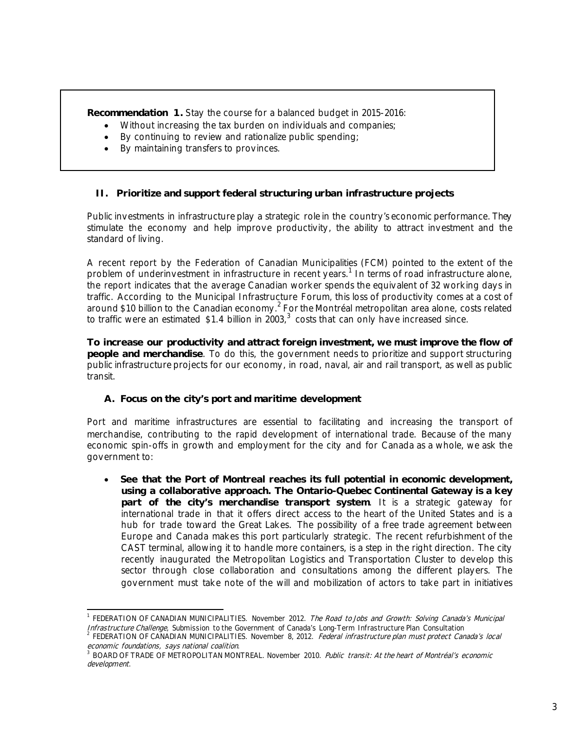**Recommendation 1.** Stay the course for a balanced budget in 2015-2016:

- Without increasing the tax burden on individuals and companies;
- By continuing to review and rationalize public spending;
- By maintaining transfers to provinces.

# **II. Prioritize and support federal structuring urban infrastructure projects**

Public investments in infrastructure play a strategic role in the country's economic performance. They stimulate the economy and help improve productivity, the ability to attract investment and the standard of living.

A recent report by the Federation of Canadian Municipalities (FCM) pointed to the extent of the problem of underinvestment in infrastructure in recent years.<sup>1</sup> In terms of road infrastructure alone, the report indicates that the average Canadian worker spends the equivalent of 32 working days in traffic. According to the Municipal Infrastructure Forum, this loss of productivity comes at a cost of around \$10 billion to the Canadian economy.<sup>2</sup> For the Montréal metropolitan area alone, costs related to traffic were an estimated \$1.4 billion in 2003,<sup>3</sup> costs that can only have increased since.

**To increase our productivity and attract foreign investment, we must improve the flow of people and merchandise**. To do this, the government needs to prioritize and support structuring public infrastructure projects for our economy, in road, naval, air and rail transport, as well as public transit.

# **A. Focus on the city's port and maritime development**

Port and maritime infrastructures are essential to facilitating and increasing the transport of merchandise, contributing to the rapid development of international trade. Because of the many economic spin-offs in growth and employment for the city and for Canada as a whole, we ask the government to:

 **See that the Port of Montreal reaches its full potential in economic development, using a collaborative approach. The Ontario-Quebec Continental Gateway is a key part of the city's merchandise transport system**. It is a strategic gateway for international trade in that it offers direct access to the heart of the United States and is a hub for trade toward the Great Lakes. The possibility of a free trade agreement between Europe and Canada makes this port particularly strategic. The recent refurbishment of the CAST terminal, allowing it to handle more containers, is a step in the right direction. The city recently inaugurated the Metropolitan Logistics and Transportation Cluster to develop this sector through close collaboration and consultations among the different players. The government must take note of the will and mobilization of actors to take part in initiatives

 <sup>1</sup> FEDERATION OF CANADIAN MUNICIPALITIES. November 2012. The Road to Jobs and Growth: Solving Canada's Municipal Infrastructure Challenge, Submission to the Government of Canada's Long-Term Infrastructure Plan Consultation<br><sup>2</sup> FEDERATION OF CANADIAN MUNICIPALITIES. November 8, 2012. *Federal infrastructure plan must protect Canada's* 

economic foundations, says national coalition.<br> $\frac{3 \text{ p} \cdot \text{p} \cdot \text{p} \cdot \text{p} \cdot \text{p} \cdot \text{p} \cdot \text{p} \cdot \text{p} \cdot \text{p} \cdot \text{p} \cdot \text{p} \cdot \text{p} \cdot \text{p} \cdot \text{p} \cdot \text{p} \cdot \text{p} \cdot \text{p} \cdot \text{p} \cdot \text{p} \cdot \text{p} \cdot \text{p} \cdot \text{p} \cdot \text{p} \cdot \text{p} \cdot \$ 

BOARD OF TRADE OF METROPOLITAN MONTREAL. November 2010. Public transit: At the heart of Montréal's economic development.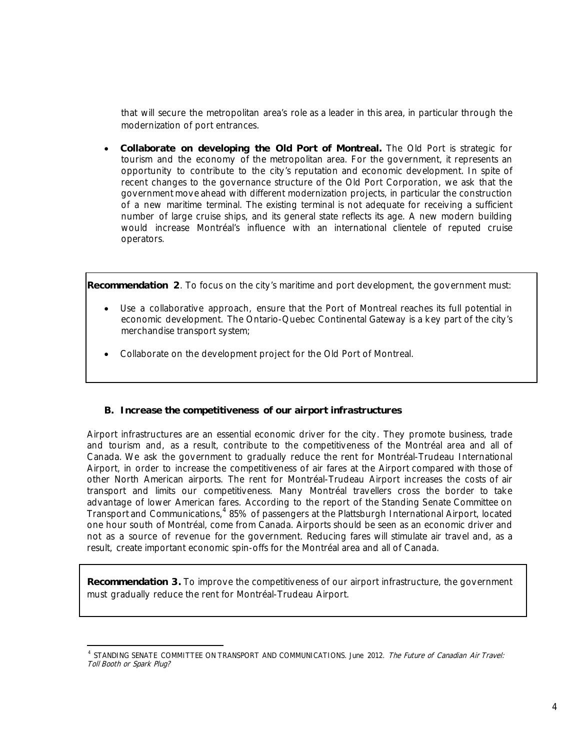that will secure the metropolitan area's role as a leader in this area, in particular through the modernization of port entrances.

 **Collaborate on developing the Old Port of Montreal.** The Old Port is strategic for tourism and the economy of the metropolitan area. For the government, it represents an opportunity to contribute to the city's reputation and economic development. In spite of recent changes to the governance structure of the Old Port Corporation, we ask that the government move ahead with different modernization projects, in particular the construction of a new maritime terminal. The existing terminal is not adequate for receiving a sufficient number of large cruise ships, and its general state reflects its age. A new modern building would increase Montréal's influence with an international clientele of reputed cruise operators.

**Recommendation 2**. To focus on the city's maritime and port development, the government must:

- Use a collaborative approach, ensure that the Port of Montreal reaches its full potential in economic development. The Ontario-Quebec Continental Gateway is a key part of the city's merchandise transport system;
- Collaborate on the development project for the Old Port of Montreal.

#### **B. Increase the competitiveness of our airport infrastructures**

Airport infrastructures are an essential economic driver for the city. They promote business, trade and tourism and, as a result, contribute to the competitiveness of the Montréal area and all of Canada. We ask the government to gradually reduce the rent for Montréal-Trudeau International Airport, in order to increase the competitiveness of air fares at the Airport compared with those of other North American airports. The rent for Montréal-Trudeau Airport increases the costs of air transport and limits our competitiveness. Many Montréal travellers cross the border to take advantage of lower American fares. According to the report of the Standing Senate Committee on Transport and Communications,<sup>4</sup> 85% of passengers at the Plattsburgh International Airport, located one hour south of Montréal, come from Canada. Airports should be seen as an economic driver and not as a source of revenue for the government. Reducing fares will stimulate air travel and, as a result, create important economic spin-offs for the Montréal area and all of Canada.

**Recommendation 3.** To improve the competitiveness of our airport infrastructure, the government must gradually reduce the rent for Montréal-Trudeau Airport.

 <sup>4</sup> STANDING SENATE COMMITTEE ON TRANSPORT AND COMMUNICATIONS. June 2012. The Future of Canadian Air Travel: Toll Booth or Spark Plug?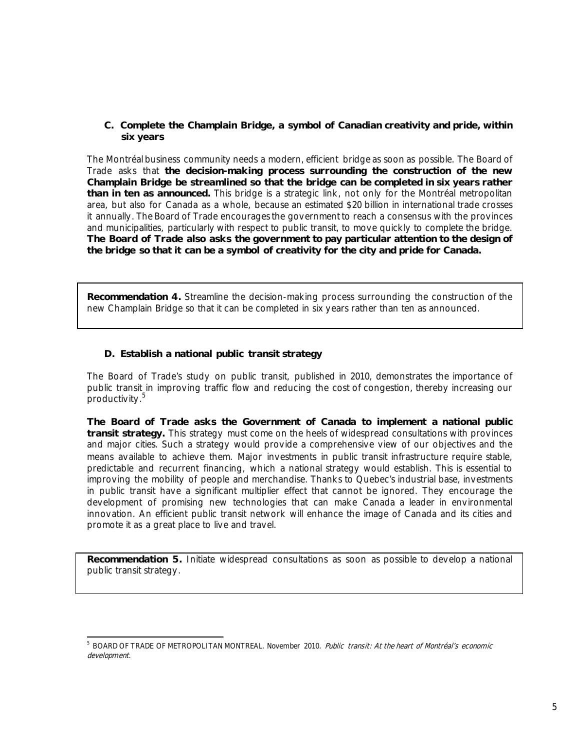# **C. Complete the Champlain Bridge, a symbol of Canadian creativity and pride, within six years**

The Montréal business community needs a modern, efficient bridge as soon as possible. The Board of Trade asks that **the decision-making process surrounding the construction of the new Champlain Bridge be streamlined so that the bridge can be completed in six years rather than in ten as announced.** This bridge is a strategic link, not only for the Montréal metropolitan area, but also for Canada as a whole, because an estimated \$20 billion in international trade crosses it annually. The Board of Trade encourages the government to reach a consensus with the provinces and municipalities, particularly with respect to public transit, to move quickly to complete the bridge. **The Board of Trade also asks the government to pay particular attention to the design of the bridge so that it can be a symbol of creativity for the city and pride for Canada.** 

**Recommendation 4.** Streamline the decision-making process surrounding the construction of the new Champlain Bridge so that it can be completed in six years rather than ten as announced.

# **D. Establish a national public transit strategy**

The Board of Trade's study on public transit, published in 2010, demonstrates the importance of public transit in improving traffic flow and reducing the cost of congestion, thereby increasing our .<br>productivity.<sup>5</sup>

**The Board of Trade asks the Government of Canada to implement a national public transit strategy.** This strategy must come on the heels of widespread consultations with provinces and major cities. Such a strategy would provide a comprehensive view of our objectives and the means available to achieve them. Major investments in public transit infrastructure require stable, predictable and recurrent financing, which a national strategy would establish. This is essential to improving the mobility of people and merchandise. Thanks to Quebec's industrial base, investments in public transit have a significant multiplier effect that cannot be ignored. They encourage the development of promising new technologies that can make Canada a leader in environmental innovation. An efficient public transit network will enhance the image of Canada and its cities and promote it as a great place to live and travel.

**Recommendation 5.** Initiate widespread consultations as soon as possible to develop a national public transit strategy.

 <sup>5</sup> BOARD OF TRADE OF METROPOLITAN MONTREAL. November 2010. Public transit: At the heart of Montréal's economic development.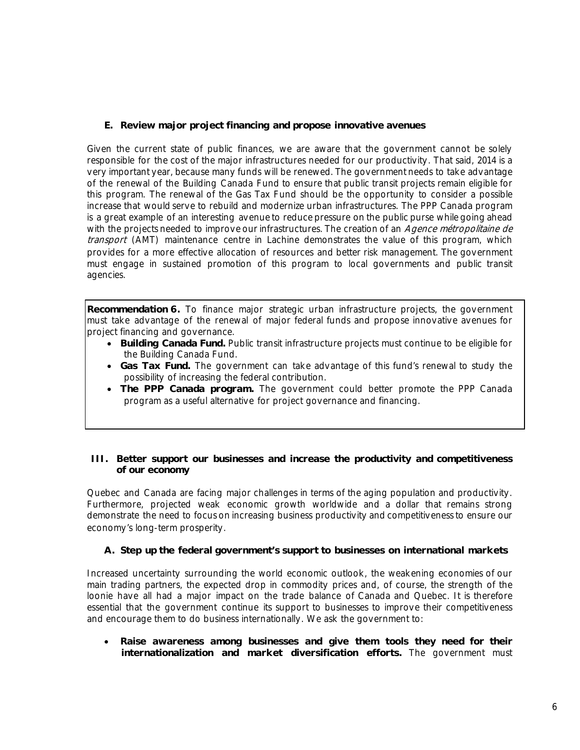# **E. Review major project financing and propose innovative avenues**

Given the current state of public finances, we are aware that the government cannot be solely responsible for the cost of the major infrastructures needed for our productivity. That said, 2014 is a very important year, because many funds will be renewed. The government needs to take advantage of the renewal of the Building Canada Fund to ensure that public transit projects remain eligible for this program. The renewal of the Gas Tax Fund should be the opportunity to consider a possible increase that would serve to rebuild and modernize urban infrastructures. The PPP Canada program is a great example of an interesting avenue to reduce pressure on the public purse while going ahead with the projects needed to improve our infrastructures. The creation of an Agence métropolitaine de transport (AMT) maintenance centre in Lachine demonstrates the value of this program, which provides for a more effective allocation of resources and better risk management. The government must engage in sustained promotion of this program to local governments and public transit agencies.

**Recommendation 6.** To finance major strategic urban infrastructure projects, the government must take advantage of the renewal of major federal funds and propose innovative avenues for project financing and governance.

- **Building Canada Fund.** Public transit infrastructure projects must continue to be eligible for the Building Canada Fund.
- **Gas Tax Fund.** The government can take advantage of this fund's renewal to study the possibility of increasing the federal contribution.
- **The PPP Canada program.** The government could better promote the PPP Canada program as a useful alternative for project governance and financing.

# **III. Better support our businesses and increase the productivity and competitiveness of our economy**

Quebec and Canada are facing major challenges in terms of the aging population and productivity. Furthermore, projected weak economic growth worldwide and a dollar that remains strong demonstrate the need to focus on increasing business productivity and competitiveness to ensure our economy's long-term prosperity.

# **A. Step up the federal government's support to businesses on international markets**

Increased uncertainty surrounding the world economic outlook, the weakening economies of our main trading partners, the expected drop in commodity prices and, of course, the strength of the loonie have all had a major impact on the trade balance of Canada and Quebec. It is therefore essential that the government continue its support to businesses to improve their competitiveness and encourage them to do business internationally. We ask the government to:

 **Raise awareness among businesses and give them tools they need for their internationalization and market diversification efforts.** The government must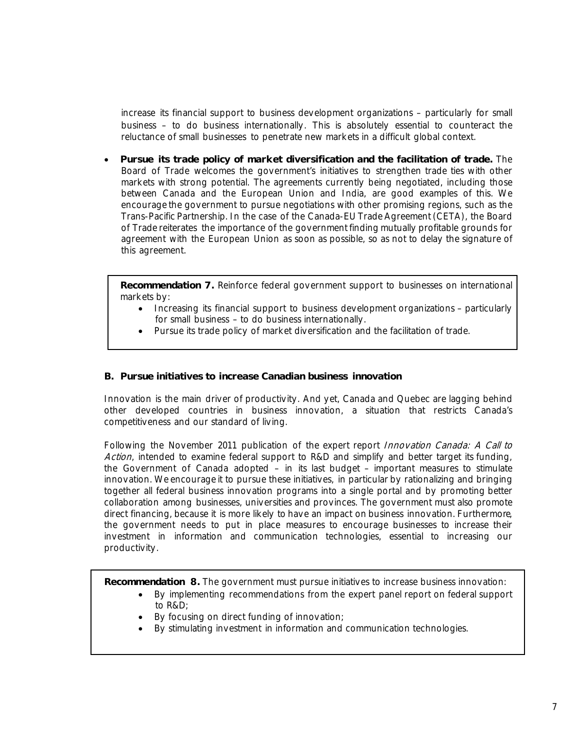increase its financial support to business development organizations – particularly for small business – to do business internationally. This is absolutely essential to counteract the reluctance of small businesses to penetrate new markets in a difficult global context.

 **Pursue its trade policy of market diversification and the facilitation of trade.** The Board of Trade welcomes the government's initiatives to strengthen trade ties with other markets with strong potential. The agreements currently being negotiated, including those between Canada and the European Union and India, are good examples of this. We encourage the government to pursue negotiations with other promising regions, such as the Trans-Pacific Partnership. In the case of the Canada-EU Trade Agreement (CETA), the Board of Trade reiterates the importance of the government finding mutually profitable grounds for agreement with the European Union as soon as possible, so as not to delay the signature of this agreement.

**Recommendation 7.** Reinforce federal government support to businesses on international markets by:

- Increasing its financial support to business development organizations particularly for small business – to do business internationally.
- Pursue its trade policy of market diversification and the facilitation of trade.

# **B. Pursue initiatives to increase Canadian business innovation**

Innovation is the main driver of productivity. And yet, Canada and Quebec are lagging behind other developed countries in business innovation, a situation that restricts Canada's competitiveness and our standard of living.

Following the November 2011 publication of the expert report Innovation Canada: A Call to Action, intended to examine federal support to R&D and simplify and better target its funding, the Government of Canada adopted – in its last budget – important measures to stimulate innovation. We encourage it to pursue these initiatives, in particular by rationalizing and bringing together all federal business innovation programs into a single portal and by promoting better collaboration among businesses, universities and provinces. The government must also promote direct financing, because it is more likely to have an impact on business innovation. Furthermore, the government needs to put in place measures to encourage businesses to increase their investment in information and communication technologies, essential to increasing our productivity.

**Recommendation 8.** The government must pursue initiatives to increase business innovation:

- By implementing recommendations from the expert panel report on federal support to R&D;
- By focusing on direct funding of innovation;
- By stimulating investment in information and communication technologies.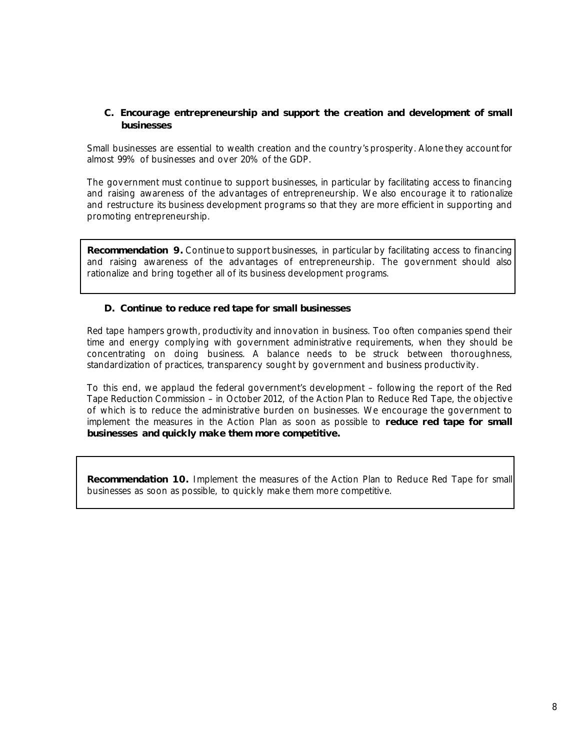# **C. Encourage entrepreneurship and support the creation and development of small businesses**

Small businesses are essential to wealth creation and the country's prosperity. Alone they account for almost 99% of businesses and over 20% of the GDP.

The government must continue to support businesses, in particular by facilitating access to financing and raising awareness of the advantages of entrepreneurship. We also encourage it to rationalize and restructure its business development programs so that they are more efficient in supporting and promoting entrepreneurship.

**Recommendation 9.** Continue to support businesses, in particular by facilitating access to financing and raising awareness of the advantages of entrepreneurship. The government should also rationalize and bring together all of its business development programs.

# **D. Continue to reduce red tape for small businesses**

Red tape hampers growth, productivity and innovation in business. Too often companies spend their time and energy complying with government administrative requirements, when they should be concentrating on doing business. A balance needs to be struck between thoroughness, standardization of practices, transparency sought by government and business productivity.

To this end, we applaud the federal government's development – following the report of the Red Tape Reduction Commission – in October 2012, of the Action Plan to Reduce Red Tape, the objective of which is to reduce the administrative burden on businesses. We encourage the government to implement the measures in the Action Plan as soon as possible to **reduce red tape for small businesses and quickly make them more competitive.**

**Recommendation 10.** Implement the measures of the Action Plan to Reduce Red Tape for small businesses as soon as possible, to quickly make them more competitive.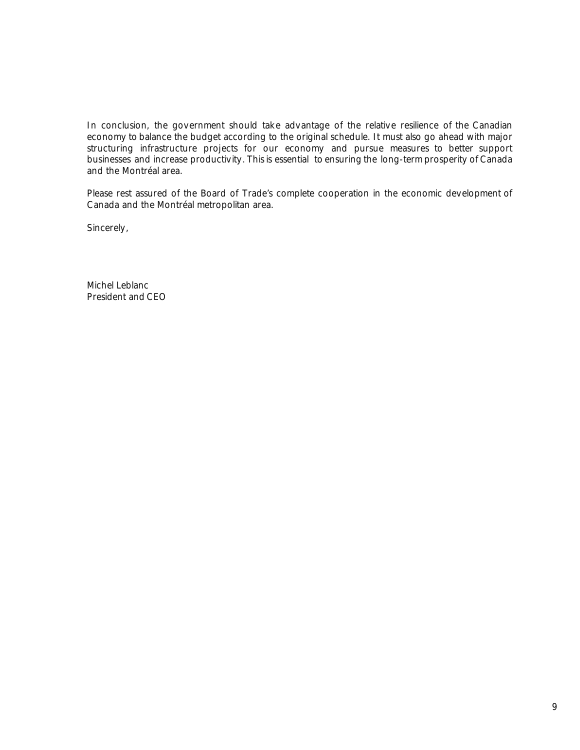In conclusion, the government should take advantage of the relative resilience of the Canadian economy to balance the budget according to the original schedule. It must also go ahead with major structuring infrastructure projects for our economy and pursue measures to better support businesses and increase productivity. This is essential to ensuring the long-term prosperity of Canada and the Montréal area.

Please rest assured of the Board of Trade's complete cooperation in the economic development of Canada and the Montréal metropolitan area.

Sincerely,

Michel Leblanc President and CEO